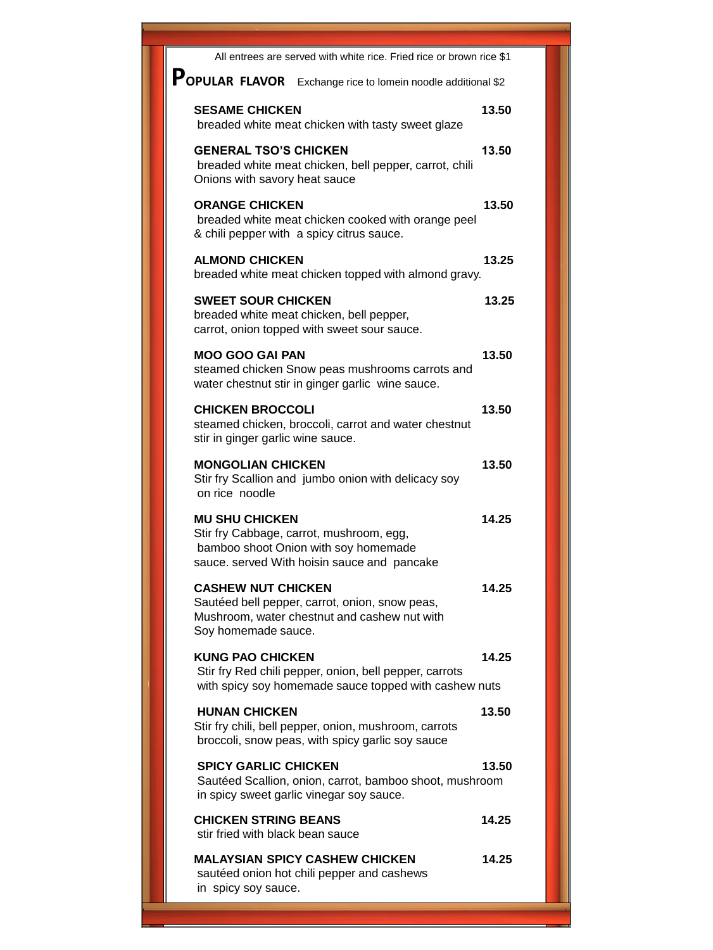| All entrees are served with white rice. Fried rice or brown rice \$1                                                                                     |       |
|----------------------------------------------------------------------------------------------------------------------------------------------------------|-------|
| POPULAR FLAVOR Exchange rice to lomein noodle additional \$2                                                                                             |       |
| <b>SESAME CHICKEN</b><br>breaded white meat chicken with tasty sweet glaze                                                                               | 13.50 |
| <b>GENERAL TSO'S CHICKEN</b><br>breaded white meat chicken, bell pepper, carrot, chili<br>Onions with savory heat sauce                                  | 13.50 |
| <b>ORANGE CHICKEN</b><br>breaded white meat chicken cooked with orange peel<br>& chili pepper with a spicy citrus sauce.                                 | 13.50 |
| <b>ALMOND CHICKEN</b><br>breaded white meat chicken topped with almond gravy.                                                                            | 13.25 |
| <b>SWEET SOUR CHICKEN</b><br>breaded white meat chicken, bell pepper,<br>carrot, onion topped with sweet sour sauce.                                     | 13.25 |
| <b>MOO GOO GAI PAN</b><br>steamed chicken Snow peas mushrooms carrots and<br>water chestnut stir in ginger garlic wine sauce.                            | 13.50 |
| <b>CHICKEN BROCCOLI</b><br>steamed chicken, broccoli, carrot and water chestnut<br>stir in ginger garlic wine sauce.                                     | 13.50 |
| <b>MONGOLIAN CHICKEN</b><br>Stir fry Scallion and jumbo onion with delicacy soy<br>on rice noodle                                                        | 13.50 |
| <b>MU SHU CHICKEN</b><br>Stir fry Cabbage, carrot, mushroom, egg,<br>bamboo shoot Onion with soy homemade<br>sauce. served With hoisin sauce and pancake | 14.25 |
| <b>CASHEW NUT CHICKEN</b><br>Sautéed bell pepper, carrot, onion, snow peas,<br>Mushroom, water chestnut and cashew nut with<br>Soy homemade sauce.       | 14.25 |
| <b>KUNG PAO CHICKEN</b><br>Stir fry Red chili pepper, onion, bell pepper, carrots<br>with spicy soy homemade sauce topped with cashew nuts               | 14.25 |
| <b>HUNAN CHICKEN</b><br>Stir fry chili, bell pepper, onion, mushroom, carrots<br>broccoli, snow peas, with spicy garlic soy sauce                        | 13.50 |
| <b>SPICY GARLIC CHICKEN</b><br>Sautéed Scallion, onion, carrot, bamboo shoot, mushroom<br>in spicy sweet garlic vinegar soy sauce.                       | 13.50 |
| <b>CHICKEN STRING BEANS</b><br>stir fried with black bean sauce                                                                                          | 14.25 |
| <b>MALAYSIAN SPICY CASHEW CHICKEN</b><br>sautéed onion hot chili pepper and cashews<br>in spicy soy sauce.                                               | 14.25 |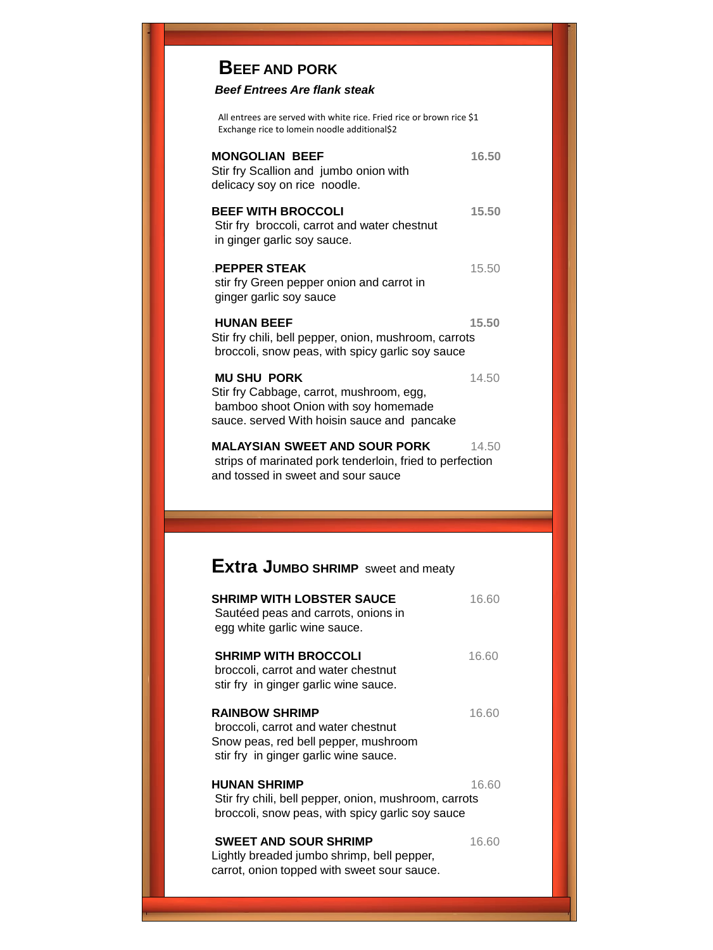## **BEEF AND PORK**

## *Beef Entrees Are flank steak*

All entrees are served with white rice. Fried rice or brown rice \$1 Exchange rice to lomein noodle additional\$2

| <b>MONGOLIAN BEEF</b><br>Stir fry Scallion and jumbo onion with<br>delicacy soy on rice noodle.                                                       | 16.50 |
|-------------------------------------------------------------------------------------------------------------------------------------------------------|-------|
| <b>BEEF WITH BROCCOLI</b><br>Stir fry broccoli, carrot and water chestnut<br>in ginger garlic soy sauce.                                              | 15.50 |
| <b>PEPPER STEAK</b><br>stir fry Green pepper onion and carrot in<br>ginger garlic soy sauce                                                           | 15.50 |
| <b>HUNAN BEEF</b><br>Stir fry chili, bell pepper, onion, mushroom, carrots<br>broccoli, snow peas, with spicy garlic soy sauce                        | 15.50 |
| <b>MU SHU PORK</b><br>Stir fry Cabbage, carrot, mushroom, egg,<br>bamboo shoot Onion with soy homemade<br>sauce. served With hoisin sauce and pancake | 14.50 |
| <b>MALAYSIAN SWEET AND SOUR PORK</b><br>strips of marinated pork tenderloin, fried to perfection<br>and tossed in sweet and sour sauce                | 14.50 |
|                                                                                                                                                       |       |
|                                                                                                                                                       |       |
|                                                                                                                                                       |       |
| <b>Extra JUMBO SHRIMP</b> sweet and meaty                                                                                                             |       |
| <b>SHRIMP WITH LOBSTER SAUCE</b><br>Sautéed peas and carrots, onions in<br>egg white garlic wine sauce.                                               | 16.60 |
| <b>SHRIMP WITH BROCCOLI</b><br>broccoli, carrot and water chestnut<br>stir fry in ginger garlic wine sauce.                                           | 16.60 |
| <b>RAINBOW SHRIMP</b><br>broccoli, carrot and water chestnut<br>Snow peas, red bell pepper, mushroom<br>stir fry in ginger garlic wine sauce.         | 16.60 |
| <b>HUNAN SHRIMP</b><br>Stir fry chili, bell pepper, onion, mushroom, carrots<br>broccoli, snow peas, with spicy garlic soy sauce                      | 16.60 |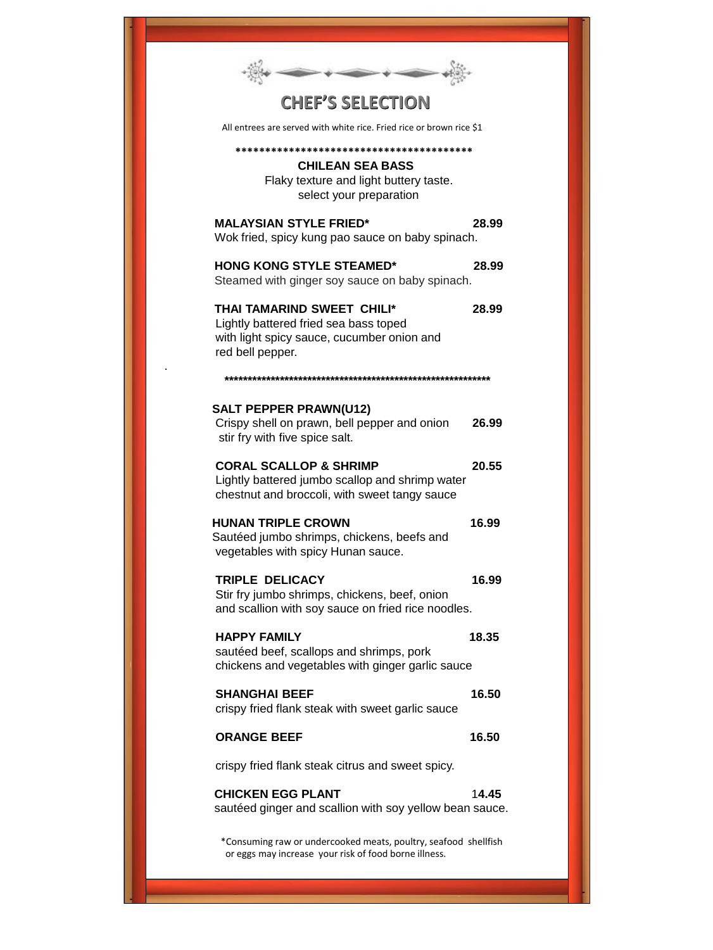| <b>CHEF'S SELECTION</b>                                                                                                                               |  |
|-------------------------------------------------------------------------------------------------------------------------------------------------------|--|
| All entrees are served with white rice. Fried rice or brown rice \$1                                                                                  |  |
|                                                                                                                                                       |  |
| <b>CHILEAN SEA BASS</b><br>Flaky texture and light buttery taste.<br>select your preparation                                                          |  |
| <b>MALAYSIAN STYLE FRIED*</b><br>28.99<br>Wok fried, spicy kung pao sauce on baby spinach.                                                            |  |
| <b>HONG KONG STYLE STEAMED*</b><br>28.99<br>Steamed with ginger soy sauce on baby spinach.                                                            |  |
| <b>THAI TAMARIND SWEET CHILI*</b><br>28.99<br>Lightly battered fried sea bass toped<br>with light spicy sauce, cucumber onion and<br>red bell pepper. |  |
|                                                                                                                                                       |  |
| <b>SALT PEPPER PRAWN(U12)</b><br>Crispy shell on prawn, bell pepper and onion<br>26.99<br>stir fry with five spice salt.                              |  |
| <b>CORAL SCALLOP &amp; SHRIMP</b><br>20.55<br>Lightly battered jumbo scallop and shrimp water<br>chestnut and broccoli, with sweet tangy sauce        |  |
| <b>HUNAN TRIPLE CROWN</b><br>16.99<br>Sautéed jumbo shrimps, chickens, beefs and<br>vegetables with spicy Hunan sauce.                                |  |
| <b>TRIPLE DELICACY</b><br>16.99<br>Stir fry jumbo shrimps, chickens, beef, onion<br>and scallion with soy sauce on fried rice noodles.                |  |
| <b>HAPPY FAMILY</b><br>18.35<br>sautéed beef, scallops and shrimps, pork<br>chickens and vegetables with ginger garlic sauce                          |  |
| 16.50<br><b>SHANGHAI BEEF</b><br>crispy fried flank steak with sweet garlic sauce                                                                     |  |
| <b>ORANGE BEEF</b><br>16.50                                                                                                                           |  |
| crispy fried flank steak citrus and sweet spicy.                                                                                                      |  |
| <b>CHICKEN EGG PLANT</b><br>14.45<br>sautéed ginger and scallion with soy yellow bean sauce.                                                          |  |
| *Consuming raw or undercooked meats, poultry, seafood shellfish<br>or eggs may increase your risk of food borne illness.                              |  |

.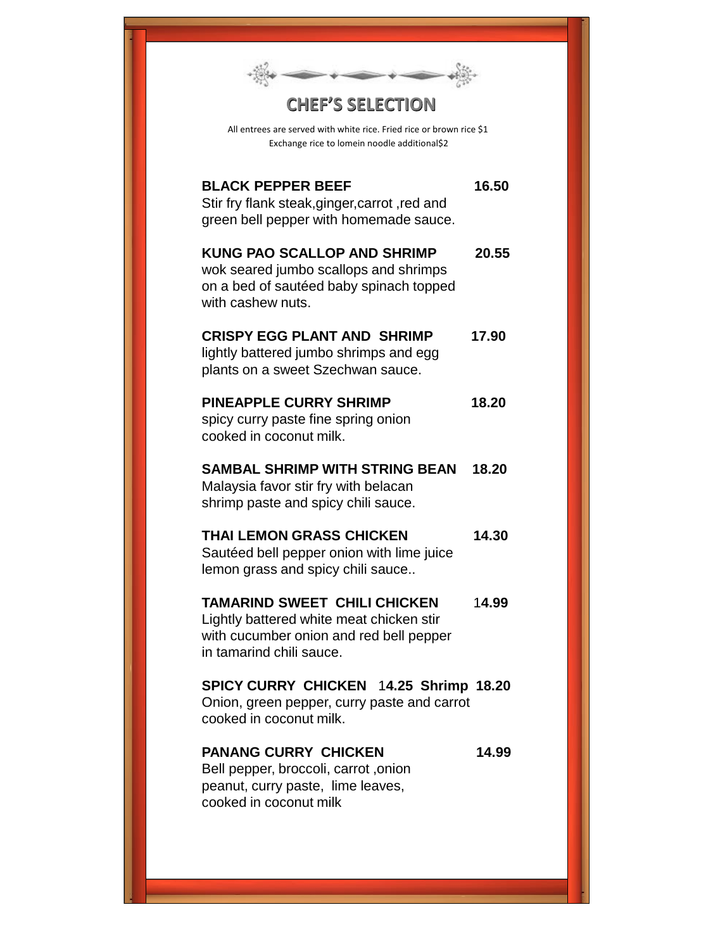| <b>CHEF'S SELECTION</b>                                                                                                                                |       |
|--------------------------------------------------------------------------------------------------------------------------------------------------------|-------|
| All entrees are served with white rice. Fried rice or brown rice \$1<br>Exchange rice to lomein noodle additional\$2                                   |       |
| <b>BLACK PEPPER BEEF</b><br>Stir fry flank steak, ginger, carrot, red and<br>green bell pepper with homemade sauce.                                    | 16.50 |
| <b>KUNG PAO SCALLOP AND SHRIMP</b><br>wok seared jumbo scallops and shrimps<br>on a bed of sautéed baby spinach topped<br>with cashew nuts.            | 20.55 |
| <b>CRISPY EGG PLANT AND SHRIMP</b><br>lightly battered jumbo shrimps and egg<br>plants on a sweet Szechwan sauce.                                      | 17.90 |
| <b>PINEAPPLE CURRY SHRIMP</b><br>spicy curry paste fine spring onion<br>cooked in coconut milk.                                                        | 18.20 |
| <b>SAMBAL SHRIMP WITH STRING BEAN</b><br>Malaysia favor stir fry with belacan<br>shrimp paste and spicy chili sauce.                                   | 18.20 |
| <b>THAI LEMON GRASS CHICKEN</b><br>Sautéed bell pepper onion with lime juice<br>lemon grass and spicy chili sauce                                      | 14.30 |
| <b>TAMARIND SWEET CHILI CHICKEN</b><br>Lightly battered white meat chicken stir<br>with cucumber onion and red bell pepper<br>in tamarind chili sauce. | 14.99 |
| SPICY CURRY CHICKEN 14.25 Shrimp 18.20<br>Onion, green pepper, curry paste and carrot<br>cooked in coconut milk.                                       |       |
| <b>PANANG CURRY CHICKEN</b><br>Bell pepper, broccoli, carrot, onion<br>peanut, curry paste, lime leaves,<br>cooked in coconut milk                     | 14.99 |
|                                                                                                                                                        |       |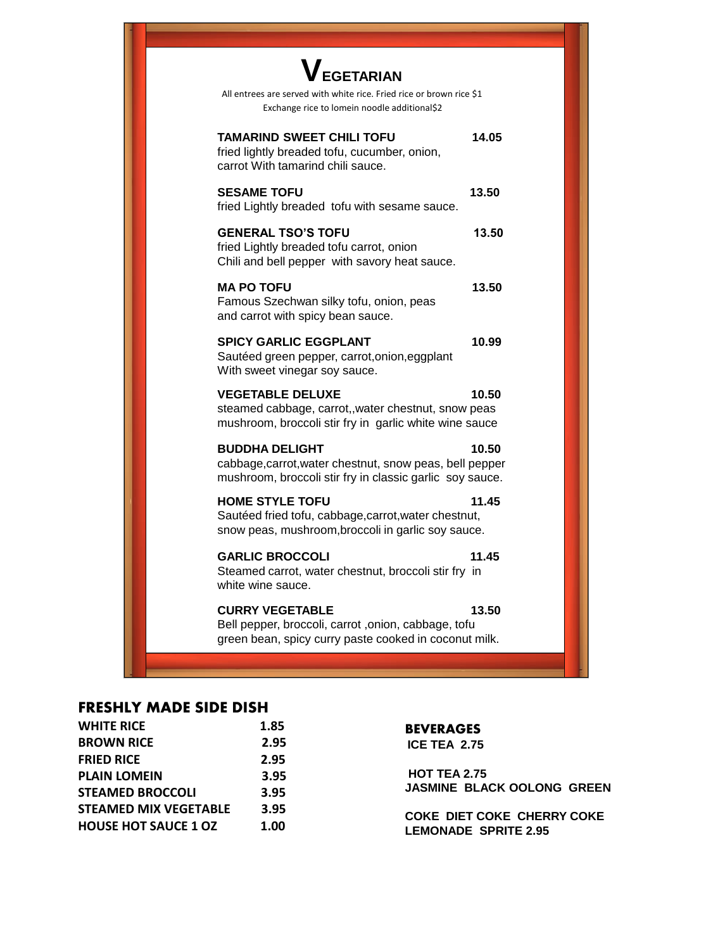| <b>VEGETARIAN</b><br>All entrees are served with white rice. Fried rice or brown rice \$1<br>Exchange rice to lomein noodle additional\$2    |       |
|----------------------------------------------------------------------------------------------------------------------------------------------|-------|
| <b>TAMARIND SWEET CHILI TOFU</b><br>fried lightly breaded tofu, cucumber, onion,<br>carrot With tamarind chili sauce.                        | 14.05 |
| <b>SESAME TOFU</b><br>fried Lightly breaded tofu with sesame sauce.                                                                          | 13.50 |
| <b>GENERAL TSO'S TOFU</b><br>fried Lightly breaded tofu carrot, onion<br>Chili and bell pepper with savory heat sauce.                       | 13.50 |
| <b>MA PO TOFU</b><br>Famous Szechwan silky tofu, onion, peas<br>and carrot with spicy bean sauce.                                            | 13.50 |
| <b>SPICY GARLIC EGGPLANT</b><br>Sautéed green pepper, carrot, onion, eggplant<br>With sweet vinegar soy sauce.                               | 10.99 |
| <b>VEGETABLE DELUXE</b><br>steamed cabbage, carrot,, water chestnut, snow peas<br>mushroom, broccoli stir fry in garlic white wine sauce     | 10.50 |
| <b>BUDDHA DELIGHT</b><br>cabbage, carrot, water chestnut, snow peas, bell pepper<br>mushroom, broccoli stir fry in classic garlic soy sauce. | 10.50 |
| <b>HOME STYLE TOFU</b><br>Sautéed fried tofu, cabbage, carrot, water chestnut,<br>snow peas, mushroom, broccoli in garlic soy sauce.         | 11.45 |
| <b>GARLIC BROCCOLI</b><br>Steamed carrot, water chestnut, broccoli stir fry in<br>white wine sauce.                                          | 11.45 |
| <b>CURRY VEGETABLE</b><br>Bell pepper, broccoli, carrot , onion, cabbage, tofu<br>green bean, spicy curry paste cooked in coconut milk.      | 13.50 |
|                                                                                                                                              |       |

## **FRESHLY MADE SIDE DISH**

| <b>WHITE RICE</b>            | 1.85 | <b>BEVERAGES</b>                  |
|------------------------------|------|-----------------------------------|
| <b>BROWN RICE</b>            | 2.95 | <b>ICE TEA 2.75</b>               |
| <b>FRIED RICE</b>            | 2.95 |                                   |
| <b>PLAIN LOMEIN</b>          | 3.95 | <b>HOT TEA 2.75</b>               |
| <b>STEAMED BROCCOLI</b>      | 3.95 | <b>JASMINE BLACK OOLONG GREEN</b> |
| <b>STEAMED MIX VEGETABLE</b> | 3.95 | <b>COKE DIET COKE CHERRY COKE</b> |
| <b>HOUSE HOT SAUCE 1 OZ</b>  | 1.00 | <b>LEMONADE SPRITE 2.95</b>       |